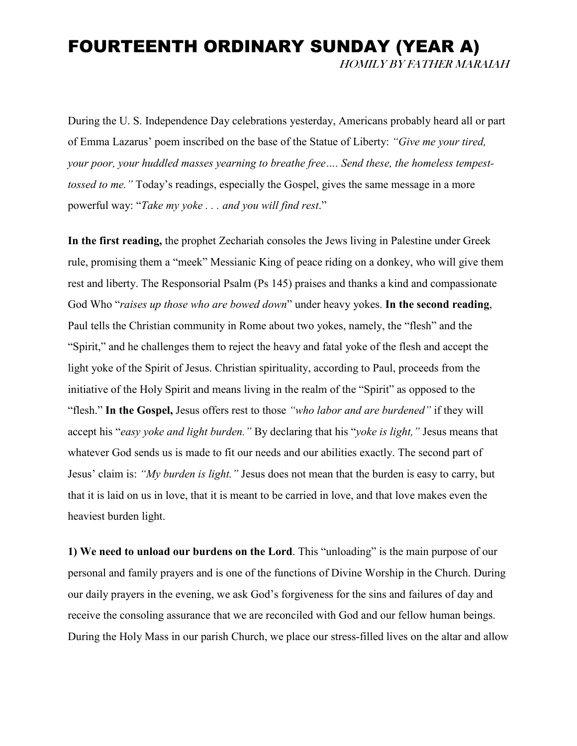## FOURTEENTH ORDINARY SUNDAY (YEAR A) HOMILY BY FATHER MARAIAH

During the U. S. Independence Day celebrations yesterday, Americans probably heard all or part of Emma Lazarus' poem inscribed on the base of the Statue of Liberty: *"Give me your tired, your poor, your huddled masses yearning to breathe free…. Send these, the homeless tempesttossed to me."* Today's readings, especially the Gospel, gives the same message in a more powerful way: "*Take my yoke . . . and you will find rest*."

**In the first reading,** the prophet Zechariah consoles the Jews living in Palestine under Greek rule, promising them a "meek" Messianic King of peace riding on a donkey, who will give them rest and liberty. The Responsorial Psalm (Ps 145) praises and thanks a kind and compassionate God Who "*raises up those who are bowed down*" under heavy yokes. **In the second reading**, Paul tells the Christian community in Rome about two yokes, namely, the "flesh" and the "Spirit," and he challenges them to reject the heavy and fatal yoke of the flesh and accept the light yoke of the Spirit of Jesus. Christian spirituality, according to Paul, proceeds from the initiative of the Holy Spirit and means living in the realm of the "Spirit" as opposed to the "flesh." **In the Gospel,** Jesus offers rest to those *"who labor and are burdened"* if they will accept his "*easy yoke and light burden."* By declaring that his "*yoke is light,"* Jesus means that whatever God sends us is made to fit our needs and our abilities exactly. The second part of Jesus' claim is: *"My burden is light."* Jesus does not mean that the burden is easy to carry, but that it is laid on us in love, that it is meant to be carried in love, and that love makes even the heaviest burden light.

**1) We need to unload our burdens on the Lord**. This "unloading" is the main purpose of our personal and family prayers and is one of the functions of Divine Worship in the Church. During our daily prayers in the evening, we ask God's forgiveness for the sins and failures of day and receive the consoling assurance that we are reconciled with God and our fellow human beings. During the Holy Mass in our parish Church, we place our stress-filled lives on the altar and allow